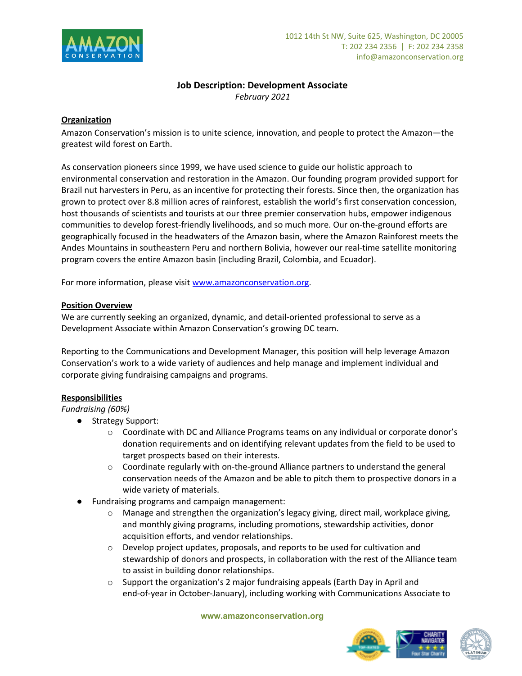

# **Job Description: Development Associate**

*February 2021*

## **Organization**

Amazon Conservation's mission is to unite science, innovation, and people to protect the Amazon—the greatest wild forest on Earth.

As conservation pioneers since 1999, we have used science to guide our holistic approach to environmental conservation and restoration in the Amazon. Our founding program provided support for Brazil nut harvesters in Peru, as an incentive for protecting their forests. Since then, the organization has grown to protect over 8.8 million acres of rainforest, establish the world's first conservation concession, host thousands of scientists and tourists at our three premier conservation hubs, empower indigenous communities to develop forest-friendly livelihoods, and so much more. Our on-the-ground efforts are geographically focused in the headwaters of the Amazon basin, where the Amazon Rainforest meets the Andes Mountains in southeastern Peru and northern Bolivia, however our real-time satellite monitoring program covers the entire Amazon basin (including Brazil, Colombia, and Ecuador).

For more information, please visit [www.amazonconservation.org](http://www.amazonconservation.org/).

## **Position Overview**

We are currently seeking an organized, dynamic, and detail-oriented professional to serve as a Development Associate within Amazon Conservation's growing DC team.

Reporting to the Communications and Development Manager, this position will help leverage Amazon Conservation's work to a wide variety of audiences and help manage and implement individual and corporate giving fundraising campaigns and programs.

## **Responsibilities**

*Fundraising (60%)*

- Strategy Support:
	- o Coordinate with DC and Alliance Programs teams on any individual or corporate donor's donation requirements and on identifying relevant updates from the field to be used to target prospects based on their interests.
	- $\circ$  Coordinate regularly with on-the-ground Alliance partners to understand the general conservation needs of the Amazon and be able to pitch them to prospective donors in a wide variety of materials.
- Fundraising programs and campaign management:
	- Manage and strengthen the organization's legacy giving, direct mail, workplace giving, and monthly giving programs, including promotions, stewardship activities, donor acquisition efforts, and vendor relationships.
	- o Develop project updates, proposals, and reports to be used for cultivation and stewardship of donors and prospects, in collaboration with the rest of the Alliance team to assist in building donor relationships.
	- o Support the organization's 2 major fundraising appeals (Earth Day in April and end-of-year in October-January), including working with Communications Associate to



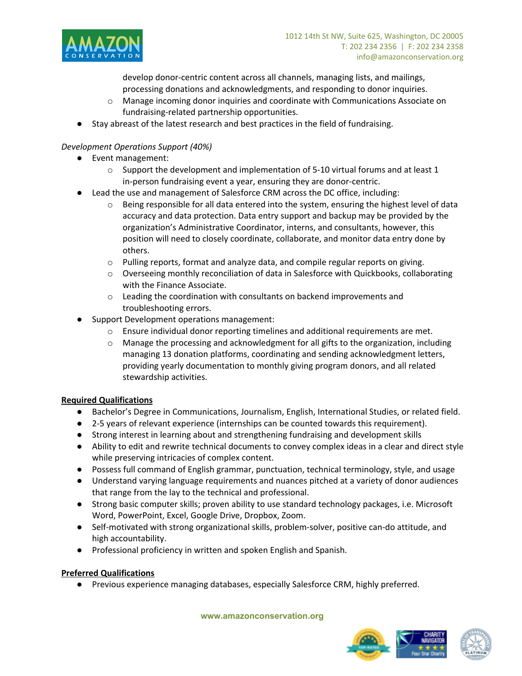

develop donor-centric content across all channels, managing lists, and mailings, processing donations and acknowledgments, and responding to donor inquiries.

- o Manage incoming donor inquiries and coordinate with Communications Associate on fundraising-related partnership opportunities.
- Stay abreast of the latest research and best practices in the field of fundraising.

## *Development Operations Support (40%)*

- Event management:
	- $\circ$  Support the development and implementation of 5-10 virtual forums and at least 1 in-person fundraising event a year, ensuring they are donor-centric.
	- Lead the use and management of Salesforce CRM across the DC office, including:
		- $\circ$  Being responsible for all data entered into the system, ensuring the highest level of data accuracy and data protection. Data entry support and backup may be provided by the organization's Administrative Coordinator, interns, and consultants, however, this position will need to closely coordinate, collaborate, and monitor data entry done by others.
		- o Pulling reports, format and analyze data, and compile regular reports on giving.
		- o Overseeing monthly reconciliation of data in Salesforce with Quickbooks, collaborating with the Finance Associate.
		- o Leading the coordination with consultants on backend improvements and troubleshooting errors.
- Support Development operations management:
	- $\circ$  Ensure individual donor reporting timelines and additional requirements are met.
	- o Manage the processing and acknowledgment for all gifts to the organization, including managing 13 donation platforms, coordinating and sending acknowledgment letters, providing yearly documentation to monthly giving program donors, and all related stewardship activities.

## **Required Qualifications**

- Bachelor's Degree in Communications, Journalism, English, International Studies, or related field.
- 2-5 years of relevant experience (internships can be counted towards this requirement).
- Strong interest in learning about and strengthening fundraising and development skills
- Ability to edit and rewrite technical documents to convey complex ideas in a clear and direct style while preserving intricacies of complex content.
- Possess full command of English grammar, punctuation, technical terminology, style, and usage
- Understand varying language requirements and nuances pitched at a variety of donor audiences that range from the lay to the technical and professional.
- Strong basic computer skills; proven ability to use standard technology packages, i.e. Microsoft Word, PowerPoint, Excel, Google Drive, Dropbox, Zoom.
- Self-motivated with strong organizational skills, problem-solver, positive can-do attitude, and high accountability.
- Professional proficiency in written and spoken English and Spanish.

## **Preferred Qualifications**

● Previous experience managing databases, especially Salesforce CRM, highly preferred.

#### **www.amazonconservation.org**